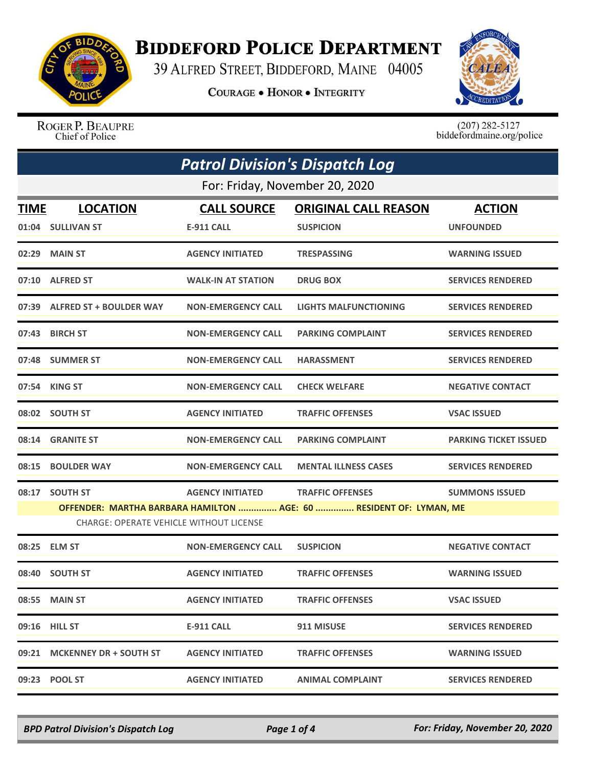

## **BIDDEFORD POLICE DEPARTMENT**

39 ALFRED STREET, BIDDEFORD, MAINE 04005

**COURAGE . HONOR . INTEGRITY** 



ROGER P. BEAUPRE Chief of Police

 $(207)$  282-5127<br>biddefordmaine.org/police

|      | <b>Patrol Division's Dispatch Log</b>                                                                                |                           |                             |                              |  |
|------|----------------------------------------------------------------------------------------------------------------------|---------------------------|-----------------------------|------------------------------|--|
|      | For: Friday, November 20, 2020                                                                                       |                           |                             |                              |  |
| TIME | <b>LOCATION</b>                                                                                                      | <b>CALL SOURCE</b>        | <b>ORIGINAL CALL REASON</b> | <b>ACTION</b>                |  |
|      | 01:04 SULLIVAN ST                                                                                                    | <b>E-911 CALL</b>         | <b>SUSPICION</b>            | <b>UNFOUNDED</b>             |  |
|      | 02:29 MAIN ST                                                                                                        | <b>AGENCY INITIATED</b>   | <b>TRESPASSING</b>          | <b>WARNING ISSUED</b>        |  |
|      | 07:10 ALFRED ST                                                                                                      | <b>WALK-IN AT STATION</b> | <b>DRUG BOX</b>             | <b>SERVICES RENDERED</b>     |  |
|      | 07:39 ALFRED ST + BOULDER WAY                                                                                        | <b>NON-EMERGENCY CALL</b> | LIGHTS MALFUNCTIONING       | <b>SERVICES RENDERED</b>     |  |
|      | 07:43 BIRCH ST                                                                                                       | <b>NON-EMERGENCY CALL</b> | <b>PARKING COMPLAINT</b>    | <b>SERVICES RENDERED</b>     |  |
|      | 07:48 SUMMER ST                                                                                                      | <b>NON-EMERGENCY CALL</b> | <b>HARASSMENT</b>           | <b>SERVICES RENDERED</b>     |  |
|      | 07:54 KING ST                                                                                                        | <b>NON-EMERGENCY CALL</b> | <b>CHECK WELFARE</b>        | <b>NEGATIVE CONTACT</b>      |  |
|      | 08:02 SOUTH ST                                                                                                       | <b>AGENCY INITIATED</b>   | <b>TRAFFIC OFFENSES</b>     | <b>VSAC ISSUED</b>           |  |
|      | 08:14 GRANITE ST                                                                                                     | <b>NON-EMERGENCY CALL</b> | <b>PARKING COMPLAINT</b>    | <b>PARKING TICKET ISSUED</b> |  |
|      | 08:15 BOULDER WAY                                                                                                    | <b>NON-EMERGENCY CALL</b> | <b>MENTAL ILLNESS CASES</b> | <b>SERVICES RENDERED</b>     |  |
|      | 08:17 SOUTH ST                                                                                                       | <b>AGENCY INITIATED</b>   | <b>TRAFFIC OFFENSES</b>     | <b>SUMMONS ISSUED</b>        |  |
|      | OFFENDER: MARTHA BARBARA HAMILTON  AGE: 60  RESIDENT OF: LYMAN, ME<br><b>CHARGE: OPERATE VEHICLE WITHOUT LICENSE</b> |                           |                             |                              |  |
|      | 08:25 ELM ST                                                                                                         | <b>NON-EMERGENCY CALL</b> | <b>SUSPICION</b>            | <b>NEGATIVE CONTACT</b>      |  |
|      | 08:40 SOUTH ST                                                                                                       | <b>AGENCY INITIATED</b>   | <b>TRAFFIC OFFENSES</b>     | <b>WARNING ISSUED</b>        |  |
|      | 08:55 MAIN ST                                                                                                        | <b>AGENCY INITIATED</b>   | <b>TRAFFIC OFFENSES</b>     | <b>VSAC ISSUED</b>           |  |
|      | 09:16 HILL ST                                                                                                        | <b>E-911 CALL</b>         | 911 MISUSE                  | <b>SERVICES RENDERED</b>     |  |
|      | 09:21 MCKENNEY DR + SOUTH ST                                                                                         | <b>AGENCY INITIATED</b>   | <b>TRAFFIC OFFENSES</b>     | <b>WARNING ISSUED</b>        |  |
|      |                                                                                                                      | <b>AGENCY INITIATED</b>   | <b>ANIMAL COMPLAINT</b>     | <b>SERVICES RENDERED</b>     |  |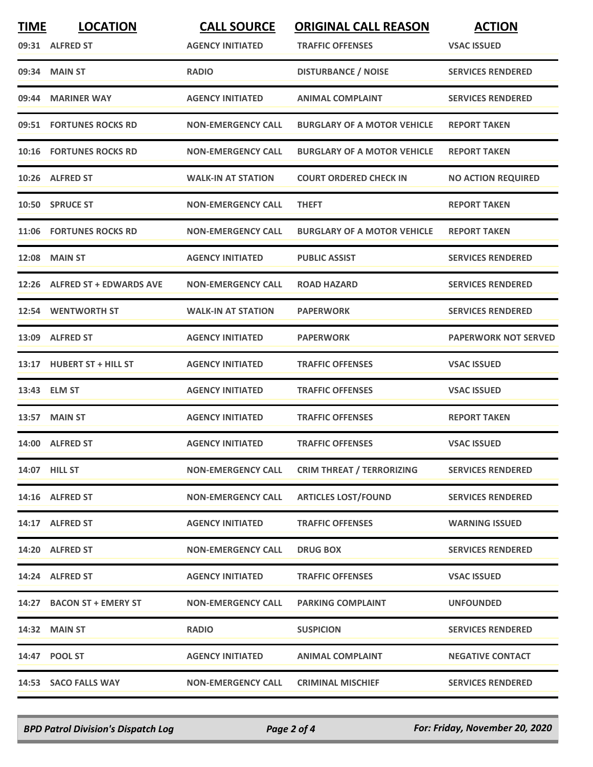| <b>TIME</b> | <b>LOCATION</b>                | <b>CALL SOURCE</b>        | <b>ORIGINAL CALL REASON</b>        | <b>ACTION</b>               |
|-------------|--------------------------------|---------------------------|------------------------------------|-----------------------------|
|             | 09:31 ALFRED ST                | <b>AGENCY INITIATED</b>   | <b>TRAFFIC OFFENSES</b>            | <b>VSAC ISSUED</b>          |
|             | 09:34 MAIN ST                  | <b>RADIO</b>              | <b>DISTURBANCE / NOISE</b>         | <b>SERVICES RENDERED</b>    |
|             | 09:44 MARINER WAY              | <b>AGENCY INITIATED</b>   | <b>ANIMAL COMPLAINT</b>            | <b>SERVICES RENDERED</b>    |
|             | 09:51 FORTUNES ROCKS RD        | <b>NON-EMERGENCY CALL</b> | <b>BURGLARY OF A MOTOR VEHICLE</b> | <b>REPORT TAKEN</b>         |
|             | <b>10:16 FORTUNES ROCKS RD</b> | <b>NON-EMERGENCY CALL</b> | <b>BURGLARY OF A MOTOR VEHICLE</b> | <b>REPORT TAKEN</b>         |
|             | 10:26 ALFRED ST                | <b>WALK-IN AT STATION</b> | <b>COURT ORDERED CHECK IN</b>      | <b>NO ACTION REQUIRED</b>   |
|             | 10:50 SPRUCE ST                | <b>NON-EMERGENCY CALL</b> | <b>THEFT</b>                       | <b>REPORT TAKEN</b>         |
|             | 11:06 FORTUNES ROCKS RD        | <b>NON-EMERGENCY CALL</b> | <b>BURGLARY OF A MOTOR VEHICLE</b> | <b>REPORT TAKEN</b>         |
| 12:08       | <b>MAIN ST</b>                 | <b>AGENCY INITIATED</b>   | <b>PUBLIC ASSIST</b>               | <b>SERVICES RENDERED</b>    |
|             | 12:26 ALFRED ST + EDWARDS AVE  | <b>NON-EMERGENCY CALL</b> | <b>ROAD HAZARD</b>                 | <b>SERVICES RENDERED</b>    |
|             | 12:54 WENTWORTH ST             | <b>WALK-IN AT STATION</b> | <b>PAPERWORK</b>                   | <b>SERVICES RENDERED</b>    |
|             | 13:09 ALFRED ST                | <b>AGENCY INITIATED</b>   | <b>PAPERWORK</b>                   | <b>PAPERWORK NOT SERVED</b> |
|             | 13:17 HUBERT ST + HILL ST      | <b>AGENCY INITIATED</b>   | <b>TRAFFIC OFFENSES</b>            | <b>VSAC ISSUED</b>          |
|             | 13:43 ELM ST                   | <b>AGENCY INITIATED</b>   | <b>TRAFFIC OFFENSES</b>            | <b>VSAC ISSUED</b>          |
|             | <b>13:57 MAIN ST</b>           | <b>AGENCY INITIATED</b>   | <b>TRAFFIC OFFENSES</b>            | <b>REPORT TAKEN</b>         |
|             | 14:00 ALFRED ST                | <b>AGENCY INITIATED</b>   | <b>TRAFFIC OFFENSES</b>            | <b>VSAC ISSUED</b>          |
|             | 14:07 HILL ST                  | <b>NON-EMERGENCY CALL</b> | <b>CRIM THREAT / TERRORIZING</b>   | <b>SERVICES RENDERED</b>    |
|             | 14:16 ALFRED ST                | <b>NON-EMERGENCY CALL</b> | <b>ARTICLES LOST/FOUND</b>         | <b>SERVICES RENDERED</b>    |
|             | 14:17 ALFRED ST                | <b>AGENCY INITIATED</b>   | <b>TRAFFIC OFFENSES</b>            | <b>WARNING ISSUED</b>       |
|             | 14:20 ALFRED ST                | <b>NON-EMERGENCY CALL</b> | <b>DRUG BOX</b>                    | <b>SERVICES RENDERED</b>    |
|             | 14:24 ALFRED ST                | <b>AGENCY INITIATED</b>   | <b>TRAFFIC OFFENSES</b>            | <b>VSAC ISSUED</b>          |
|             | 14:27 BACON ST + EMERY ST      | <b>NON-EMERGENCY CALL</b> | <b>PARKING COMPLAINT</b>           | <b>UNFOUNDED</b>            |
|             | 14:32 MAIN ST                  | <b>RADIO</b>              | <b>SUSPICION</b>                   | <b>SERVICES RENDERED</b>    |
|             | 14:47 POOL ST                  | <b>AGENCY INITIATED</b>   | <b>ANIMAL COMPLAINT</b>            | <b>NEGATIVE CONTACT</b>     |
|             | 14:53 SACO FALLS WAY           | <b>NON-EMERGENCY CALL</b> | <b>CRIMINAL MISCHIEF</b>           | <b>SERVICES RENDERED</b>    |

*BPD Patrol Division's Dispatch Log Page 2 of 4 For: Friday, November 20, 2020*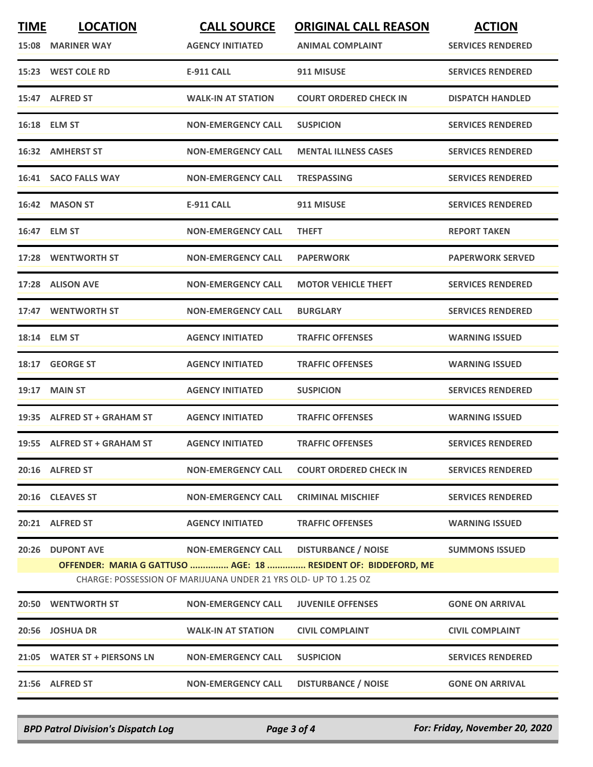| <b>TIME</b> | <b>LOCATION</b><br>15:08 MARINER WAY                                                                                              | <b>CALL SOURCE</b><br><b>AGENCY INITIATED</b> | <b>ORIGINAL CALL REASON</b><br><b>ANIMAL COMPLAINT</b> | <b>ACTION</b><br><b>SERVICES RENDERED</b> |  |  |
|-------------|-----------------------------------------------------------------------------------------------------------------------------------|-----------------------------------------------|--------------------------------------------------------|-------------------------------------------|--|--|
|             | 15:23 WEST COLE RD                                                                                                                | <b>E-911 CALL</b>                             | 911 MISUSE                                             | <b>SERVICES RENDERED</b>                  |  |  |
|             | 15:47 ALFRED ST                                                                                                                   | <b>WALK-IN AT STATION</b>                     | <b>COURT ORDERED CHECK IN</b>                          | <b>DISPATCH HANDLED</b>                   |  |  |
|             | 16:18 ELM ST                                                                                                                      | <b>NON-EMERGENCY CALL</b>                     | <b>SUSPICION</b>                                       | <b>SERVICES RENDERED</b>                  |  |  |
|             | 16:32 AMHERST ST                                                                                                                  | <b>NON-EMERGENCY CALL</b>                     | <b>MENTAL ILLNESS CASES</b>                            | <b>SERVICES RENDERED</b>                  |  |  |
|             | 16:41 SACO FALLS WAY                                                                                                              | <b>NON-EMERGENCY CALL</b>                     | <b>TRESPASSING</b>                                     | <b>SERVICES RENDERED</b>                  |  |  |
|             | 16:42 MASON ST                                                                                                                    | <b>E-911 CALL</b>                             | 911 MISUSE                                             | <b>SERVICES RENDERED</b>                  |  |  |
|             | 16:47 ELM ST                                                                                                                      | <b>NON-EMERGENCY CALL</b>                     | <b>THEFT</b>                                           | <b>REPORT TAKEN</b>                       |  |  |
|             | 17:28 WENTWORTH ST                                                                                                                | <b>NON-EMERGENCY CALL</b>                     | <b>PAPERWORK</b>                                       | <b>PAPERWORK SERVED</b>                   |  |  |
|             | 17:28 ALISON AVE                                                                                                                  | <b>NON-EMERGENCY CALL</b>                     | <b>MOTOR VEHICLE THEFT</b>                             | <b>SERVICES RENDERED</b>                  |  |  |
|             | 17:47 WENTWORTH ST                                                                                                                | <b>NON-EMERGENCY CALL</b>                     | <b>BURGLARY</b>                                        | <b>SERVICES RENDERED</b>                  |  |  |
|             | 18:14 ELM ST                                                                                                                      | <b>AGENCY INITIATED</b>                       | <b>TRAFFIC OFFENSES</b>                                | <b>WARNING ISSUED</b>                     |  |  |
|             | 18:17 GEORGE ST                                                                                                                   | <b>AGENCY INITIATED</b>                       | <b>TRAFFIC OFFENSES</b>                                | <b>WARNING ISSUED</b>                     |  |  |
| 19:17       | <b>MAIN ST</b>                                                                                                                    | <b>AGENCY INITIATED</b>                       | <b>SUSPICION</b>                                       | <b>SERVICES RENDERED</b>                  |  |  |
|             | 19:35 ALFRED ST + GRAHAM ST                                                                                                       | <b>AGENCY INITIATED</b>                       | <b>TRAFFIC OFFENSES</b>                                | <b>WARNING ISSUED</b>                     |  |  |
|             | 19:55 ALFRED ST + GRAHAM ST                                                                                                       | <b>AGENCY INITIATED</b>                       | <b>TRAFFIC OFFENSES</b>                                | <b>SERVICES RENDERED</b>                  |  |  |
|             | 20:16 ALFRED ST                                                                                                                   | <b>NON-EMERGENCY CALL</b>                     | <b>COURT ORDERED CHECK IN</b>                          | <b>SERVICES RENDERED</b>                  |  |  |
|             | 20:16 CLEAVES ST                                                                                                                  | <b>NON-EMERGENCY CALL</b>                     | <b>CRIMINAL MISCHIEF</b>                               | <b>SERVICES RENDERED</b>                  |  |  |
|             | 20:21 ALFRED ST                                                                                                                   | <b>AGENCY INITIATED</b>                       | <b>TRAFFIC OFFENSES</b>                                | <b>WARNING ISSUED</b>                     |  |  |
|             | 20:26 DUPONT AVE                                                                                                                  | <b>NON-EMERGENCY CALL</b>                     | <b>DISTURBANCE / NOISE</b>                             | <b>SUMMONS ISSUED</b>                     |  |  |
|             | OFFENDER: MARIA G GATTUSO  AGE: 18  RESIDENT OF: BIDDEFORD, ME<br>CHARGE: POSSESSION OF MARIJUANA UNDER 21 YRS OLD- UP TO 1.25 OZ |                                               |                                                        |                                           |  |  |
|             | <b>20:50 WENTWORTH ST</b>                                                                                                         | <b>NON-EMERGENCY CALL</b>                     | <b>JUVENILE OFFENSES</b>                               | <b>GONE ON ARRIVAL</b>                    |  |  |
|             | 20:56 JOSHUA DR                                                                                                                   | <b>WALK-IN AT STATION</b>                     | <b>CIVIL COMPLAINT</b>                                 | <b>CIVIL COMPLAINT</b>                    |  |  |
|             | 21:05 WATER ST + PIERSONS LN                                                                                                      | <b>NON-EMERGENCY CALL</b>                     | <b>SUSPICION</b>                                       | <b>SERVICES RENDERED</b>                  |  |  |
|             | 21:56 ALFRED ST                                                                                                                   | <b>NON-EMERGENCY CALL</b>                     | <b>DISTURBANCE / NOISE</b>                             | <b>GONE ON ARRIVAL</b>                    |  |  |

*BPD Patrol Division's Dispatch Log Page 3 of 4 For: Friday, November 20, 2020*